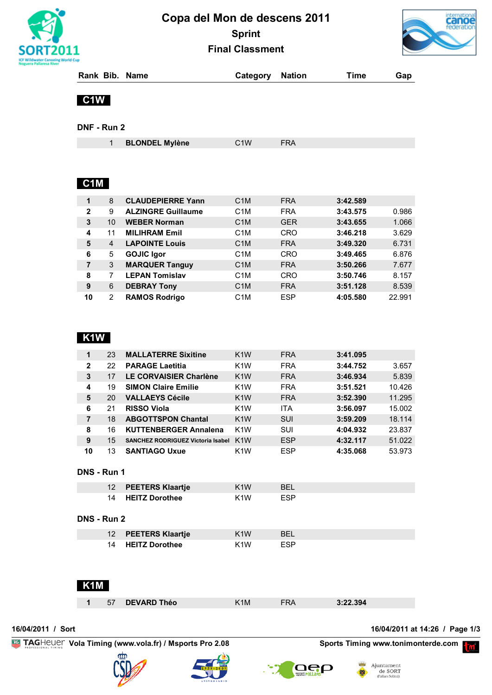

# **Copa del Mon de descens 2011 Sprint Final Classment**



|  | Rank Bib. Name | <b>Category Nation</b> | Time | Gap |
|--|----------------|------------------------|------|-----|
|  |                |                        |      |     |

## **C1W**

**DNF - Run 2**

|--|

## **C1M**

| 1            | 8              | <b>CLAUDEPIERRE Yann</b>  | C <sub>1</sub> M | <b>FRA</b> | 3:42.589 |        |
|--------------|----------------|---------------------------|------------------|------------|----------|--------|
|              |                |                           |                  |            |          |        |
| $\mathbf{2}$ | 9              | <b>ALZINGRE Guillaume</b> | C <sub>1</sub> M | <b>FRA</b> | 3:43.575 | 0.986  |
| 3            | 10             | <b>WEBER Norman</b>       | C <sub>1</sub> M | <b>GER</b> | 3:43.655 | 1.066  |
| 4            | 11             | <b>MILIHRAM Emil</b>      | C <sub>1</sub> M | CRO        | 3:46.218 | 3.629  |
| 5            | $\overline{4}$ | <b>LAPOINTE Louis</b>     | C <sub>1</sub> M | <b>FRA</b> | 3:49.320 | 6.731  |
| 6            | 5              | <b>GOJIC Igor</b>         | C <sub>1</sub> M | CRO        | 3:49.465 | 6.876  |
| 7            | 3              | <b>MARQUER Tanguy</b>     | C <sub>1</sub> M | <b>FRA</b> | 3:50.266 | 7.677  |
| 8            | 7              | <b>LEPAN Tomislav</b>     | C <sub>1</sub> M | CRO        | 3:50.746 | 8.157  |
| 9            | 6              | <b>DEBRAY Tony</b>        | C <sub>1</sub> M | <b>FRA</b> | 3:51.128 | 8.539  |
| 10           | 2              | <b>RAMOS Rodrigo</b>      | C <sub>1</sub> M | <b>ESP</b> | 4:05.580 | 22.991 |

## **K1W**

| 1            | 23 | <b>MALLATERRE Sixitine</b>               | K <sub>1</sub> W | <b>FRA</b> | 3:41.095 |        |
|--------------|----|------------------------------------------|------------------|------------|----------|--------|
| $\mathbf{2}$ | 22 | <b>PARAGE Laetitia</b>                   | K <sub>1</sub> W | <b>FRA</b> | 3:44.752 | 3.657  |
| 3            | 17 | <b>LE CORVAISIER Charlène</b>            | K <sub>1</sub> W | <b>FRA</b> | 3:46.934 | 5.839  |
| 4            | 19 | <b>SIMON Claire Emilie</b>               | K <sub>1</sub> W | <b>FRA</b> | 3:51.521 | 10.426 |
| 5            | 20 | <b>VALLAEYS Cécile</b>                   | K <sub>1</sub> W | <b>FRA</b> | 3:52.390 | 11.295 |
| 6            | 21 | <b>RISSO Viola</b>                       | K <sub>1</sub> W | <b>ITA</b> | 3:56.097 | 15.002 |
| 7            | 18 | <b>ABGOTTSPON Chantal</b>                | K <sub>1</sub> W | <b>SUI</b> | 3:59.209 | 18.114 |
| 8            | 16 | <b>KUTTENBERGER Annalena</b>             | K <sub>1</sub> W | SUI        | 4:04.932 | 23.837 |
| 9            | 15 | <b>SANCHEZ RODRIGUEZ Victoria Isabel</b> | K <sub>1</sub> W | <b>ESP</b> | 4:32.117 | 51.022 |
| 10           | 13 | <b>SANTIAGO Uxue</b>                     | K <sub>1</sub> W | <b>ESP</b> | 4:35.068 | 53.973 |

#### **DNS - Run 1**

| 12 PEETERS Klaartje | 1W  |  |
|---------------------|-----|--|
| 14 HEITZ Dorothee   | 1 W |  |

#### **DNS - Run 2**

| 12 PEETERS Klaartje | K <sub>1</sub> W | <b>RFI</b> |
|---------------------|------------------|------------|
| 14 HEITZ Dorothee   | K <sub>1</sub> W | <b>FSP</b> |

## **K1M**

| <b>DEVARD Théo</b><br>3:22.394<br>1M)<br>57 |
|---------------------------------------------|
|---------------------------------------------|

**16/04/2011 / Sort 16/04/2011 at 14:26 / Page 1/3**

**EXAGHELIEF Vola Timing (www.vola.fr) / Msports Pro 2.08 Sports Timing www.tonimonterde.com PM** 





**OCO** 

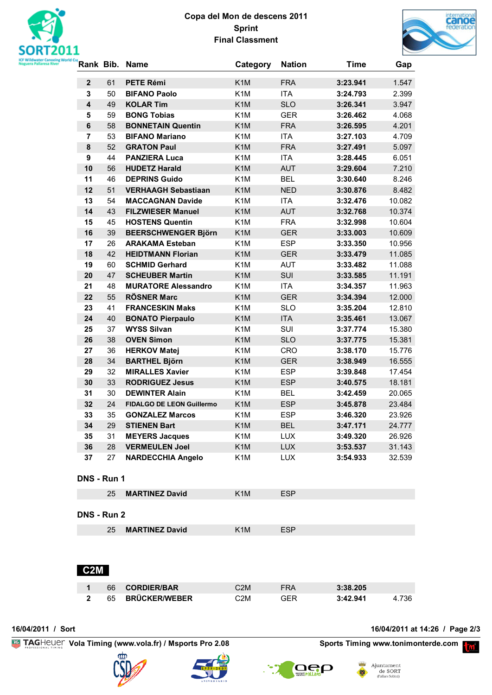

## **Copa del Mon de descens 2011 Sprint Final Classment**



|                |          | Rank Bib. Name                                             | Category                             | <b>Nation</b>            | <b>Time</b>          | Gap              |
|----------------|----------|------------------------------------------------------------|--------------------------------------|--------------------------|----------------------|------------------|
| $\mathbf{2}$   | 61       | <b>PETE Rémi</b>                                           | K <sub>1</sub> M                     | <b>FRA</b>               | 3:23.941             | 1.547            |
| 3              | 50       | <b>BIFANO Paolo</b>                                        | K <sub>1</sub> M                     | ITA                      | 3:24.793             | 2.399            |
| 4              | 49       | <b>KOLAR Tim</b>                                           | K <sub>1</sub> M                     | <b>SLO</b>               | 3:26.341             | 3.947            |
| 5              | 59       | <b>BONG Tobias</b>                                         | K <sub>1</sub> M                     | <b>GER</b>               | 3:26.462             | 4.068            |
| 6              | 58       | <b>BONNETAIN Quentin</b>                                   | K <sub>1</sub> M                     | <b>FRA</b>               | 3:26.595             | 4.201            |
| $\overline{7}$ | 53       | <b>BIFANO Mariano</b>                                      | K <sub>1</sub> M                     | ITA                      | 3:27.103             | 4.709            |
| 8              | 52       | <b>GRATON Paul</b>                                         | K <sub>1</sub> M                     | <b>FRA</b>               | 3:27.491             | 5.097            |
| 9              | 44       | <b>PANZIERA Luca</b>                                       | K <sub>1</sub> M                     | <b>ITA</b>               | 3:28.445             | 6.051            |
| 10             | 56       | <b>HUDETZ Harald</b>                                       | K <sub>1</sub> M                     | <b>AUT</b>               | 3:29.604             | 7.210            |
| 11             | 46       | <b>DEPRINS Guido</b>                                       | K <sub>1</sub> M                     | <b>BEL</b>               | 3:30.640             | 8.246            |
| 12             | 51       | <b>VERHAAGH Sebastiaan</b>                                 | K <sub>1</sub> M                     | <b>NED</b>               | 3:30.876             | 8.482            |
| 13             | 54       | <b>MACCAGNAN Davide</b>                                    | K <sub>1</sub> M                     | <b>ITA</b>               | 3:32.476             | 10.082           |
| 14             | 43       | <b>FILZWIESER Manuel</b>                                   | K <sub>1</sub> M                     | <b>AUT</b>               | 3:32.768             | 10.374           |
| 15             | 45       | <b>HOSTENS Quentin</b>                                     | K <sub>1</sub> M                     | <b>FRA</b>               | 3:32.998             | 10.604           |
| 16             | 39       | <b>BEERSCHWENGER Björn</b>                                 | K <sub>1</sub> M                     | <b>GER</b>               | 3:33.003             | 10.609           |
| 17             | 26       | <b>ARAKAMA Esteban</b>                                     | K <sub>1</sub> M                     | <b>ESP</b>               | 3:33.350             | 10.956           |
| 18             | 42       | <b>HEIDTMANN Florian</b>                                   | K <sub>1</sub> M                     | <b>GER</b>               | 3:33.479             | 11.085           |
| 19             | 60       | <b>SCHMID Gerhard</b>                                      | K <sub>1</sub> M                     | <b>AUT</b>               | 3:33.482             | 11.088           |
| 20             | 47       | <b>SCHEUBER Martin</b>                                     | K <sub>1</sub> M                     | <b>SUI</b>               | 3:33.585             | 11.191           |
| 21             | 48       | <b>MURATORE Alessandro</b>                                 | K <sub>1</sub> M                     | <b>ITA</b>               | 3:34.357             | 11.963           |
| 22             | 55       | <b>RÖSNER Marc</b>                                         | K <sub>1</sub> M                     | <b>GER</b>               | 3:34.394             | 12.000           |
| 23             | 41       | <b>FRANCESKIN Maks</b>                                     | K <sub>1</sub> M                     | <b>SLO</b>               | 3:35.204             | 12.810           |
| 24             | 40       | <b>BONATO Pierpaulo</b>                                    | K <sub>1</sub> M                     | <b>ITA</b>               | 3:35.461             | 13.067           |
| 25             | 37       | <b>WYSS Silvan</b>                                         | K <sub>1</sub> M                     | SUI                      | 3:37.774             | 15.380           |
| 26             | 38       | <b>OVEN Simon</b>                                          | K <sub>1</sub> M                     | <b>SLO</b>               | 3:37.775             | 15.381           |
| 27             | 36       | <b>HERKOV Matej</b>                                        | K <sub>1</sub> M                     | <b>CRO</b>               | 3:38.170             | 15.776           |
| 28             | 34       | <b>BARTHEL Björn</b>                                       | K <sub>1</sub> M                     | <b>GER</b>               | 3:38.949             | 16.555           |
| 29             | 32       | <b>MIRALLES Xavier</b>                                     | K <sub>1</sub> M                     | <b>ESP</b>               | 3:39.848             | 17.454           |
| 30             | 33       | <b>RODRIGUEZ Jesus</b>                                     | K <sub>1</sub> M                     | <b>ESP</b>               | 3:40.575             | 18.181           |
| 31             | 30       | <b>DEWINTER Alain</b>                                      | K <sub>1</sub> M                     | <b>BEL</b>               | 3:42.459             | 20.065           |
| 32<br>33       | 24<br>35 | <b>FIDALGO DE LEON Guillermo</b><br><b>GONZALEZ Marcos</b> | K <sub>1</sub> M<br>K <sub>1</sub> M | <b>ESP</b>               | 3:45.878<br>3:46.320 | 23.484           |
| 34             | 29       | <b>STIENEN Bart</b>                                        | K <sub>1</sub> M                     | <b>ESP</b><br><b>BEL</b> | 3:47.171             | 23.926           |
| 35             | 31       | <b>MEYERS Jacques</b>                                      | K <sub>1</sub> M                     | <b>LUX</b>               | 3:49.320             | 24.777<br>26.926 |
| 36             | 28       | <b>VERMEULEN Joel</b>                                      | K <sub>1</sub> M                     | <b>LUX</b>               | 3:53.537             | 31.143           |
| 37             | 27       | <b>NARDECCHIA Angelo</b>                                   | K <sub>1</sub> M                     | <b>LUX</b>               | 3:54.933             | 32.539           |
|                |          |                                                            |                                      |                          |                      |                  |
| DNS - Run 1    |          |                                                            |                                      |                          |                      |                  |
|                | 25       | <b>MARTINEZ David</b>                                      | K <sub>1</sub> M                     | <b>ESP</b>               |                      |                  |
| DNS - Run 2    |          |                                                            |                                      |                          |                      |                  |
|                | 25       | <b>MARTINEZ David</b>                                      | K <sub>1</sub> M                     | <b>ESP</b>               |                      |                  |
| C2M            |          |                                                            |                                      |                          |                      |                  |

 66 **CORDIER/BAR** C2M FRA **3:38.205** 65 **BRÜCKER/WEBER** C2M GER **3:42.941** 4.736

**16/04/2011 / Sort 16/04/2011 at 14:26 / Page 2/3**

**EXAGHELIEF Vola Timing (www.vola.fr) / Msports Pro 2.08 Sports Timing www.tonimonterde.com PM**